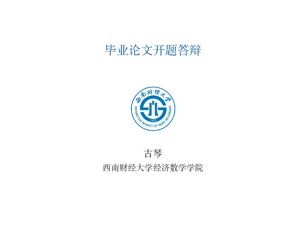# 毕业论文开题答辩



古琴

#### 西南财经大学经济数学学院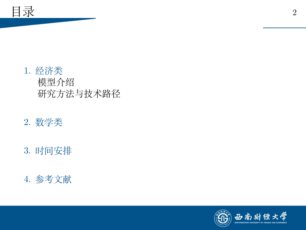

- 2. [数学类](#page-7-0)
- 3. [时间安排](#page-9-0)
- 4. [参考文献](#page-11-0)

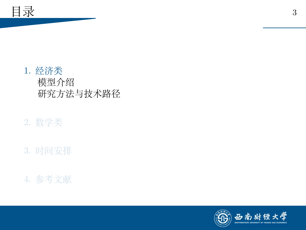<span id="page-2-0"></span>

# 2. [数学类](#page-7-0)

- 3. [时间安排](#page-9-0)
- 4. [参考文献](#page-11-0)

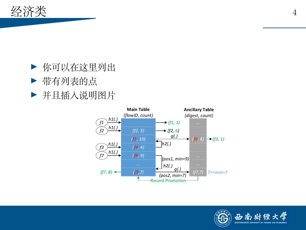

- ▶ 你可以在这里列出
- ▶ 带有列表的点
- ▶ 并且插入说明图片



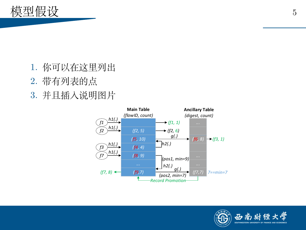<span id="page-4-0"></span>

- 1. 你可以在这里列出
- 2. 带有列表的点
- 3. 并且插入说明图片



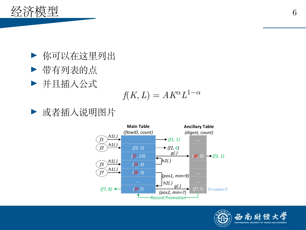

- ▶ 你可以在这里列出
- ▶ 带有列表的点
- ▶ 并且插入公式

$$
f(K, L) = AK^{\alpha}L^{1-\alpha}
$$

▶ 或者插入说明图片



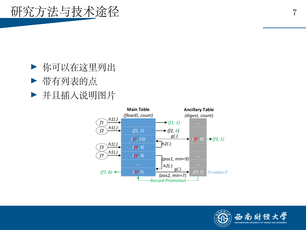<span id="page-6-0"></span>

- ▶ 你可以在这里列出
- ▶ 带有列表的点
- ▶ 并且插入说明图片



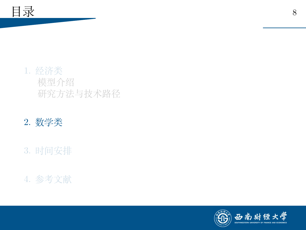<span id="page-7-0"></span>

# 2. [数学类](#page-7-0)

# 3. [时间安排](#page-9-0)

# 4. [参考文献](#page-11-0)

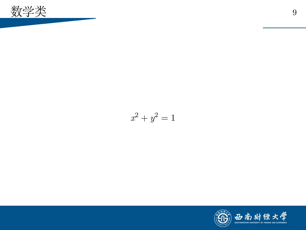

$$
x^2 + y^2 = 1
$$

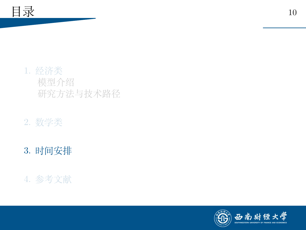<span id="page-9-0"></span>

# 2. [数学类](#page-7-0)

# 3. [时间安排](#page-9-0)

# 4. [参考文献](#page-11-0)

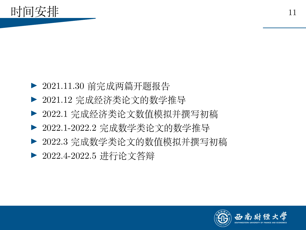- ▶ 2021.11.30 前完成两篇开题报告
- ▶ 2021.12 完成经济类论文的数学推导
- ▶ 2022.1 完成经济类论文数值模拟并撰写初稿
- ▶ 2022.1-2022.2 完成数学类论文的数学推导
- ▶ 2022.3 完成数学类论文的数值模拟并撰写初稿
- ▶ 2022.4-2022.5 进行论文答辩

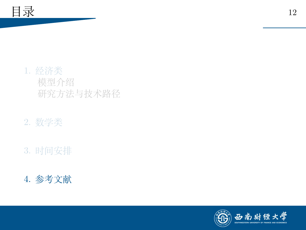<span id="page-11-0"></span>

# 2. [数学类](#page-7-0)

# 3. [时间安排](#page-9-0)

# 4. [参考文献](#page-11-0)

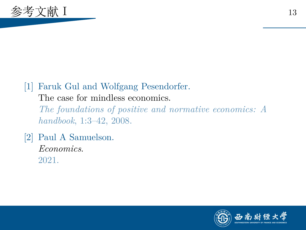

# [1] Faruk Gul and Wolfgang Pesendorfer. The case for mindless economics. *The foundations of positive and normative economics: A handbook*, 1:3–42, 2008.

[2] Paul A Samuelson. *Economics*. 2021.